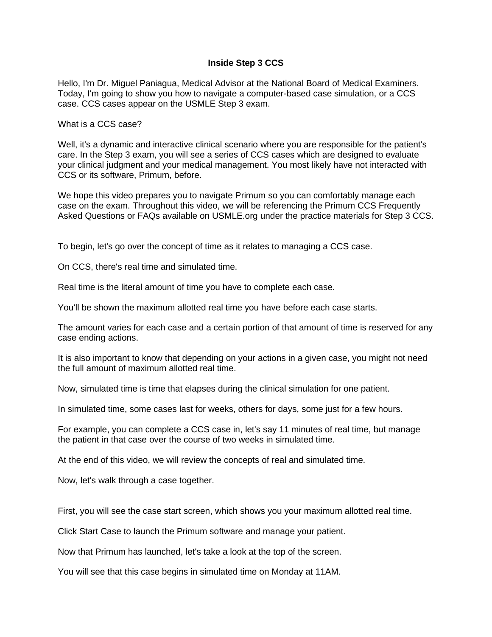## **Inside Step 3 CCS**

Hello, I'm Dr. Miguel Paniagua, Medical Advisor at the National Board of Medical Examiners. Today, I'm going to show you how to navigate a computer-based case simulation, or a CCS case. CCS cases appear on the USMLE Step 3 exam.

What is a CCS case?

Well, it's a dynamic and interactive clinical scenario where you are responsible for the patient's care. In the Step 3 exam, you will see a series of CCS cases which are designed to evaluate your clinical judgment and your medical management. You most likely have not interacted with CCS or its software, Primum, before.

We hope this video prepares you to navigate Primum so you can comfortably manage each case on the exam. Throughout this video, we will be referencing the Primum CCS Frequently Asked Questions or FAQs available on USMLE.org under the practice materials for Step 3 CCS.

To begin, let's go over the concept of time as it relates to managing a CCS case.

On CCS, there's real time and simulated time.

Real time is the literal amount of time you have to complete each case.

You'll be shown the maximum allotted real time you have before each case starts.

The amount varies for each case and a certain portion of that amount of time is reserved for any case ending actions.

It is also important to know that depending on your actions in a given case, you might not need the full amount of maximum allotted real time.

Now, simulated time is time that elapses during the clinical simulation for one patient.

In simulated time, some cases last for weeks, others for days, some just for a few hours.

For example, you can complete a CCS case in, let's say 11 minutes of real time, but manage the patient in that case over the course of two weeks in simulated time.

At the end of this video, we will review the concepts of real and simulated time.

Now, let's walk through a case together.

First, you will see the case start screen, which shows you your maximum allotted real time.

Click Start Case to launch the Primum software and manage your patient.

Now that Primum has launched, let's take a look at the top of the screen.

You will see that this case begins in simulated time on Monday at 11AM.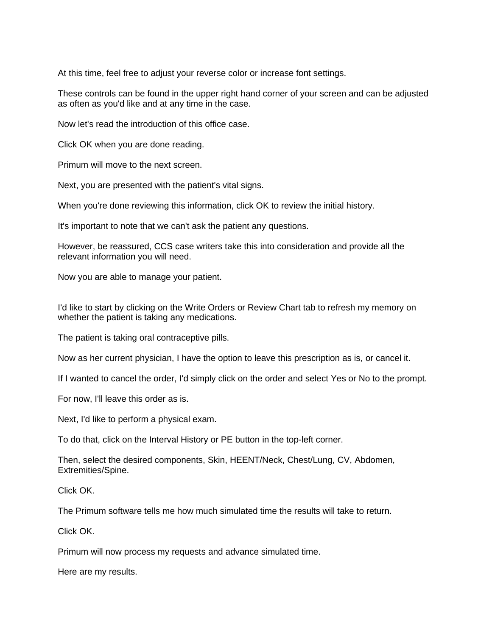At this time, feel free to adjust your reverse color or increase font settings.

These controls can be found in the upper right hand corner of your screen and can be adjusted as often as you'd like and at any time in the case.

Now let's read the introduction of this office case.

Click OK when you are done reading.

Primum will move to the next screen.

Next, you are presented with the patient's vital signs.

When you're done reviewing this information, click OK to review the initial history.

It's important to note that we can't ask the patient any questions.

However, be reassured, CCS case writers take this into consideration and provide all the relevant information you will need.

Now you are able to manage your patient.

I'd like to start by clicking on the Write Orders or Review Chart tab to refresh my memory on whether the patient is taking any medications.

The patient is taking oral contraceptive pills.

Now as her current physician, I have the option to leave this prescription as is, or cancel it.

If I wanted to cancel the order, I'd simply click on the order and select Yes or No to the prompt.

For now, I'll leave this order as is.

Next, I'd like to perform a physical exam.

To do that, click on the Interval History or PE button in the top-left corner.

Then, select the desired components, Skin, HEENT/Neck, Chest/Lung, CV, Abdomen, Extremities/Spine.

Click OK.

The Primum software tells me how much simulated time the results will take to return.

Click OK.

Primum will now process my requests and advance simulated time.

Here are my results.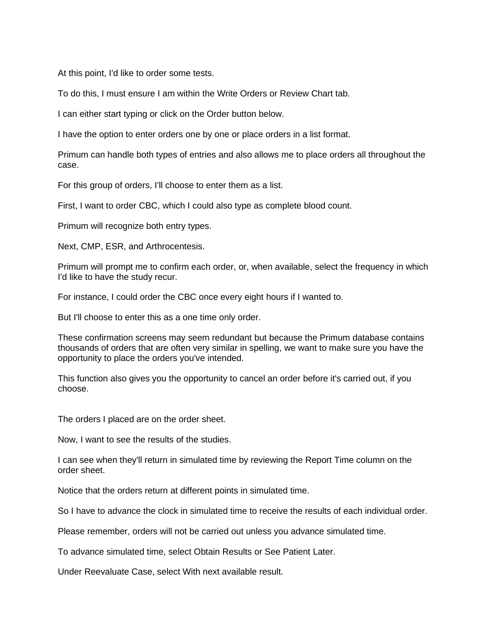At this point, I'd like to order some tests.

To do this, I must ensure I am within the Write Orders or Review Chart tab.

I can either start typing or click on the Order button below.

I have the option to enter orders one by one or place orders in a list format.

Primum can handle both types of entries and also allows me to place orders all throughout the case.

For this group of orders, I'll choose to enter them as a list.

First, I want to order CBC, which I could also type as complete blood count.

Primum will recognize both entry types.

Next, CMP, ESR, and Arthrocentesis.

Primum will prompt me to confirm each order, or, when available, select the frequency in which I'd like to have the study recur.

For instance, I could order the CBC once every eight hours if I wanted to.

But I'll choose to enter this as a one time only order.

These confirmation screens may seem redundant but because the Primum database contains thousands of orders that are often very similar in spelling, we want to make sure you have the opportunity to place the orders you've intended.

This function also gives you the opportunity to cancel an order before it's carried out, if you choose.

The orders I placed are on the order sheet.

Now, I want to see the results of the studies.

I can see when they'll return in simulated time by reviewing the Report Time column on the order sheet.

Notice that the orders return at different points in simulated time.

So I have to advance the clock in simulated time to receive the results of each individual order.

Please remember, orders will not be carried out unless you advance simulated time.

To advance simulated time, select Obtain Results or See Patient Later.

Under Reevaluate Case, select With next available result.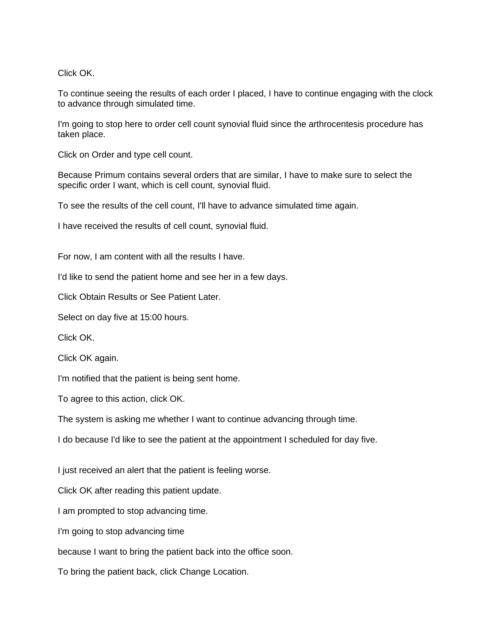Click OK.

To continue seeing the results of each order I placed, I have to continue engaging with the clock to advance through simulated time.

I'm going to stop here to order cell count synovial fluid since the arthrocentesis procedure has taken place.

Click on Order and type cell count.

Because Primum contains several orders that are similar, I have to make sure to select the specific order I want, which is cell count, synovial fluid.

To see the results of the cell count, I'll have to advance simulated time again.

I have received the results of cell count, synovial fluid.

For now, I am content with all the results I have.

I'd like to send the patient home and see her in a few days.

Click Obtain Results or See Patient Later.

Select on day five at 15:00 hours.

Click OK.

Click OK again.

I'm notified that the patient is being sent home.

To agree to this action, click OK.

The system is asking me whether I want to continue advancing through time.

I do because I'd like to see the patient at the appointment I scheduled for day five.

I just received an alert that the patient is feeling worse.

Click OK after reading this patient update.

I am prompted to stop advancing time.

I'm going to stop advancing time

because I want to bring the patient back into the office soon.

To bring the patient back, click Change Location.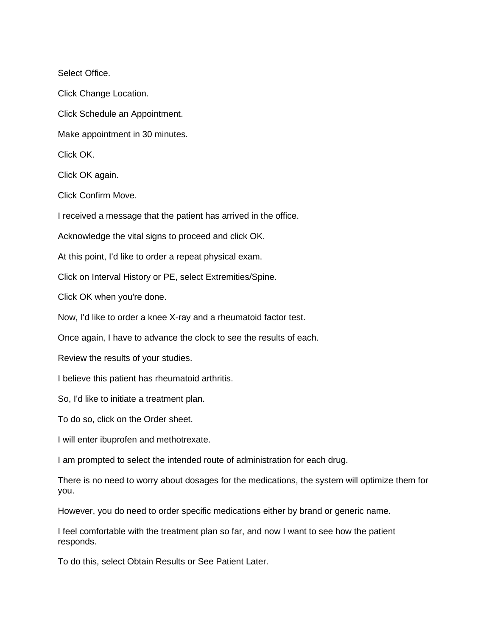Select Office.

Click Change Location.

Click Schedule an Appointment.

Make appointment in 30 minutes.

Click OK.

Click OK again.

Click Confirm Move.

I received a message that the patient has arrived in the office.

Acknowledge the vital signs to proceed and click OK.

At this point, I'd like to order a repeat physical exam.

Click on Interval History or PE, select Extremities/Spine.

Click OK when you're done.

Now, I'd like to order a knee X-ray and a rheumatoid factor test.

Once again, I have to advance the clock to see the results of each.

Review the results of your studies.

I believe this patient has rheumatoid arthritis.

So, I'd like to initiate a treatment plan.

To do so, click on the Order sheet.

I will enter ibuprofen and methotrexate.

I am prompted to select the intended route of administration for each drug.

There is no need to worry about dosages for the medications, the system will optimize them for you.

However, you do need to order specific medications either by brand or generic name.

I feel comfortable with the treatment plan so far, and now I want to see how the patient responds.

To do this, select Obtain Results or See Patient Later.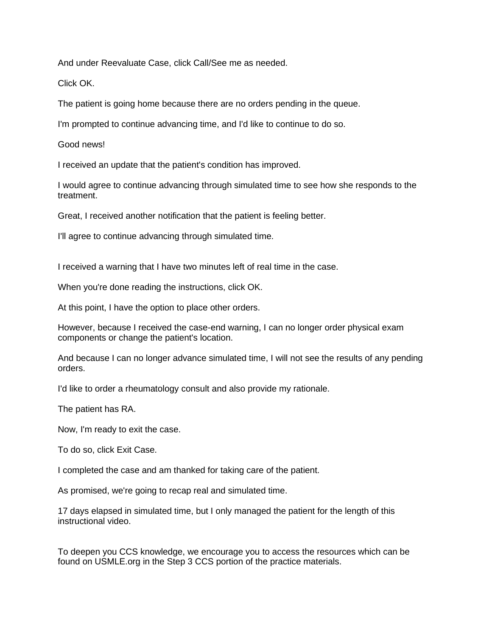And under Reevaluate Case, click Call/See me as needed.

Click OK.

The patient is going home because there are no orders pending in the queue.

I'm prompted to continue advancing time, and I'd like to continue to do so.

Good news!

I received an update that the patient's condition has improved.

I would agree to continue advancing through simulated time to see how she responds to the treatment.

Great, I received another notification that the patient is feeling better.

I'll agree to continue advancing through simulated time.

I received a warning that I have two minutes left of real time in the case.

When you're done reading the instructions, click OK.

At this point, I have the option to place other orders.

However, because I received the case-end warning, I can no longer order physical exam components or change the patient's location.

And because I can no longer advance simulated time, I will not see the results of any pending orders.

I'd like to order a rheumatology consult and also provide my rationale.

The patient has RA.

Now, I'm ready to exit the case.

To do so, click Exit Case.

I completed the case and am thanked for taking care of the patient.

As promised, we're going to recap real and simulated time.

17 days elapsed in simulated time, but I only managed the patient for the length of this instructional video.

To deepen you CCS knowledge, we encourage you to access the resources which can be found on USMLE.org in the Step 3 CCS portion of the practice materials.